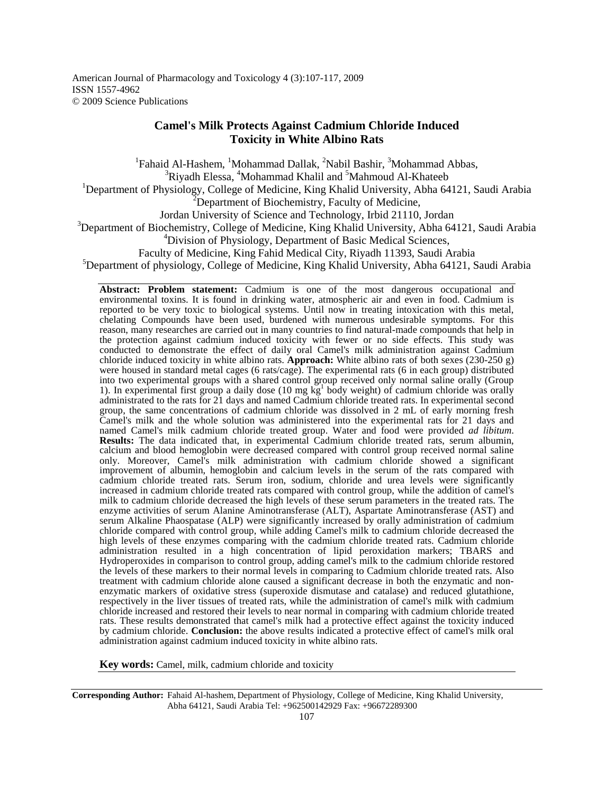American Journal of Pharmacology and Toxicology 4 (3):107-117, 2009 ISSN 1557-4962 © 2009 Science Publications

# **Camel's Milk Protects Against Cadmium Chloride Induced Toxicity in White Albino Rats**

<sup>1</sup>Fahaid Al-Hashem, <sup>1</sup>Mohammad Dallak, <sup>2</sup>Nabil Bashir, <sup>3</sup>Mohammad Abbas, <sup>3</sup>Riyadh Elessa, <sup>4</sup>Mohammad Khalil and <sup>5</sup>Mahmoud Al-Khateeb <sup>1</sup>Department of Physiology, College of Medicine, King Khalid University, Abha 64121, Saudi Arabia  $2$ Department of Biochemistry, Faculty of Medicine, Jordan University of Science and Technology, Irbid 21110, Jordan <sup>3</sup>Department of Biochemistry, College of Medicine, King Khalid University, Abha 64121, Saudi Arabia <sup>4</sup>Division of Physiology, Department of Basic Medical Sciences, Faculty of Medicine, King Fahid Medical City, Riyadh 11393, Saudi Arabia <sup>5</sup>Department of physiology, College of Medicine, King Khalid University, Abha 64121, Saudi Arabia

**Abstract: Problem statement:** Cadmium is one of the most dangerous occupational and environmental toxins. It is found in drinking water, atmospheric air and even in food. Cadmium is reported to be very toxic to biological systems. Until now in treating intoxication with this metal, chelating Compounds have been used, burdened with numerous undesirable symptoms. For this reason, many researches are carried out in many countries to find natural-made compounds that help in the protection against cadmium induced toxicity with fewer or no side effects. This study was conducted to demonstrate the effect of daily oral Camel's milk administration against Cadmium chloride induced toxicity in white albino rats. **Approach:** White albino rats of both sexes (230-250 g) were housed in standard metal cages (6 rats/cage). The experimental rats (6 in each group) distributed into two experimental groups with a shared control group received only normal saline orally (Group 1). In experimental first group a daily dose (10 mg  $\mathrm{kg}^1$  body weight) of cadmium chloride was orally administrated to the rats for 21 days and named Cadmium chloride treated rats. In experimental second group, the same concentrations of cadmium chloride was dissolved in 2 mL of early morning fresh Camel's milk and the whole solution was administered into the experimental rats for 21 days and named Camel's milk cadmium chloride treated group. Water and food were provided *ad libitum*. Results: The data indicated that, in experimental Cadmium chloride treated rats, serum albumin, calcium and blood hemoglobin were decreased compared with control group received normal saline only. Moreover, Camel's milk administration with cadmium chloride showed a significant improvement of albumin, hemoglobin and calcium levels in the serum of the rats compared with cadmium chloride treated rats. Serum iron, sodium, chloride and urea levels were significantly increased in cadmium chloride treated rats compared with control group, while the addition of camel's milk to cadmium chloride decreased the high levels of these serum parameters in the treated rats. The enzyme activities of serum Alanine Aminotransferase (ALT), Aspartate Aminotransferase (AST) and serum Alkaline Phaospatase (ALP) were significantly increased by orally administration of cadmium chloride compared with control group, while adding Camel's milk to cadmium chloride decreased the high levels of these enzymes comparing with the cadmium chloride treated rats. Cadmium chloride administration resulted in a high concentration of lipid peroxidation markers; TBARS and Hydroperoxides in comparison to control group, adding camel's milk to the cadmium chloride restored the levels of these markers to their normal levels in comparing to Cadmium chloride treated rats. Also treatment with cadmium chloride alone caused a significant decrease in both the enzymatic and nonenzymatic markers of oxidative stress (superoxide dismutase and catalase) and reduced glutathione, respectively in the liver tissues of treated rats, while the administration of camel's milk with cadmium chloride increased and restored their levels to near normal in comparing with cadmium chloride treated rats. These results demonstrated that camel's milk had a protective effect against the toxicity induced by cadmium chloride. **Conclusion:** the above results indicated a protective effect of camel's milk oral administration against cadmium induced toxicity in white albino rats.

**Key words:** Camel, milk, cadmium chloride and toxicity

**Corresponding Author:** Fahaid Al-hashem, Department of Physiology, College of Medicine, King Khalid University, Abha 64121, Saudi Arabia Tel: +962500142929 Fax: +96672289300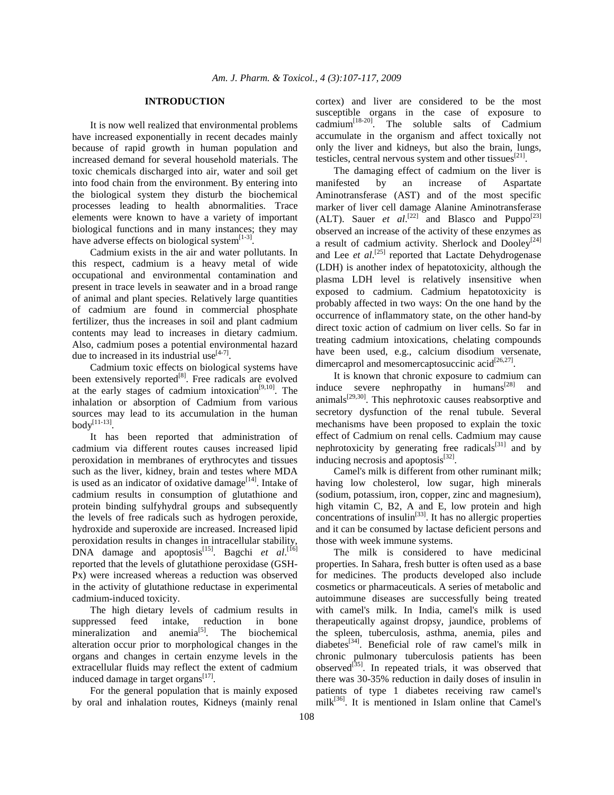#### **INTRODUCTION**

 It is now well realized that environmental problems have increased exponentially in recent decades mainly because of rapid growth in human population and increased demand for several household materials. The toxic chemicals discharged into air, water and soil get into food chain from the environment. By entering into the biological system they disturb the biochemical processes leading to health abnormalities. Trace elements were known to have a variety of important biological functions and in many instances; they may have adverse effects on biological system $^{[1-3]}$ .

 Cadmium exists in the air and water pollutants. In this respect, cadmium is a heavy metal of wide occupational and environmental contamination and present in trace levels in seawater and in a broad range of animal and plant species. Relatively large quantities of cadmium are found in commercial phosphate fertilizer, thus the increases in soil and plant cadmium contents may lead to increases in dietary cadmium. Also, cadmium poses a potential environmental hazard due to increased in its industrial use  $[4-7]$ .

 Cadmium toxic effects on biological systems have been extensively reported $[8]$ . Free radicals are evolved at the early stages of cadmium intoxication<sup>[9,10]</sup>. The inhalation or absorption of Cadmium from various sources may lead to its accumulation in the human body $^{[11-13]}$ .

 It has been reported that administration of cadmium via different routes causes increased lipid peroxidation in membranes of erythrocytes and tissues such as the liver, kidney, brain and testes where MDA is used as an indicator of oxidative damage<sup>[14]</sup>. Intake of cadmium results in consumption of glutathione and protein binding sulfyhydral groups and subsequently the levels of free radicals such as hydrogen peroxide, hydroxide and superoxide are increased. Increased lipid peroxidation results in changes in intracellular stability,  $DNA$  damage and apoptosis<sup>[15]</sup>. Bagchi *et al.*<sup>[16]</sup> reported that the levels of glutathione peroxidase (GSH-Px) were increased whereas a reduction was observed in the activity of glutathione reductase in experimental cadmium-induced toxicity.

 The high dietary levels of cadmium results in suppressed feed intake, reduction in bone mineralization and anemia<sup>[5]</sup>. The biochemical alteration occur prior to morphological changes in the organs and changes in certain enzyme levels in the extracellular fluids may reflect the extent of cadmium induced damage in target organs<sup>[17]</sup>.

 For the general population that is mainly exposed by oral and inhalation routes, Kidneys (mainly renal cortex) and liver are considered to be the most susceptible organs in the case of exposure to cadmium[18-20]. The soluble salts of Cadmium accumulate in the organism and affect toxically not only the liver and kidneys, but also the brain, lungs, testicles, central nervous system and other tissues $^{[21]}$ .

 The damaging effect of cadmium on the liver is manifested by an increase of Aspartate Aminotransferase (AST) and of the most specific marker of liver cell damage Alanine Aminotransferase (ALT). Sauer *et al.*<sup>[22]</sup> and Blasco and Puppo<sup>[23]</sup> observed an increase of the activity of these enzymes as a result of cadmium activity. Sherlock and  $Dooley^{[24]}$ and Lee *et al.*<sup>[25]</sup> reported that Lactate Dehydrogenase (LDH) is another index of hepatotoxicity, although the plasma LDH level is relatively insensitive when exposed to cadmium. Cadmium hepatotoxicity is probably affected in two ways: On the one hand by the occurrence of inflammatory state, on the other hand-by direct toxic action of cadmium on liver cells. So far in treating cadmium intoxications, chelating compounds have been used, e.g., calcium disodium versenate, dimercaprol and mesomercaptosuccinic acid $^{[26,27]}$ .

 It is known that chronic exposure to cadmium can induce severe nephropathy in humans<sup>[28]</sup> and animals[29,30]. This nephrotoxic causes reabsorptive and secretory dysfunction of the renal tubule. Several mechanisms have been proposed to explain the toxic effect of Cadmium on renal cells. Cadmium may cause nephrotoxicity by generating free radicals<sup>[31]</sup> and by inducing necrosis and apoptosis $^{[32]}$ .

 Camel's milk is different from other ruminant milk; having low cholesterol, low sugar, high minerals (sodium, potassium, iron, copper, zinc and magnesium), high vitamin C, B2, A and E, low protein and high concentrations of insulin<sup>[33]</sup>. It has no allergic properties and it can be consumed by lactase deficient persons and those with week immune systems.

 The milk is considered to have medicinal properties. In Sahara, fresh butter is often used as a base for medicines. The products developed also include cosmetics or pharmaceuticals. A series of metabolic and autoimmune diseases are successfully being treated with camel's milk. In India, camel's milk is used therapeutically against dropsy, jaundice, problems of the spleen, tuberculosis, asthma, anemia, piles and diabetes<sup>[34]</sup>. Beneficial role of raw camel's milk in chronic pulmonary tuberculosis patients has been observed $^{[35]}$ . In repeated trials, it was observed that there was 30-35% reduction in daily doses of insulin in patients of type 1 diabetes receiving raw camel's  $milk<sup>[36]</sup>$ . It is mentioned in Islam online that Camel's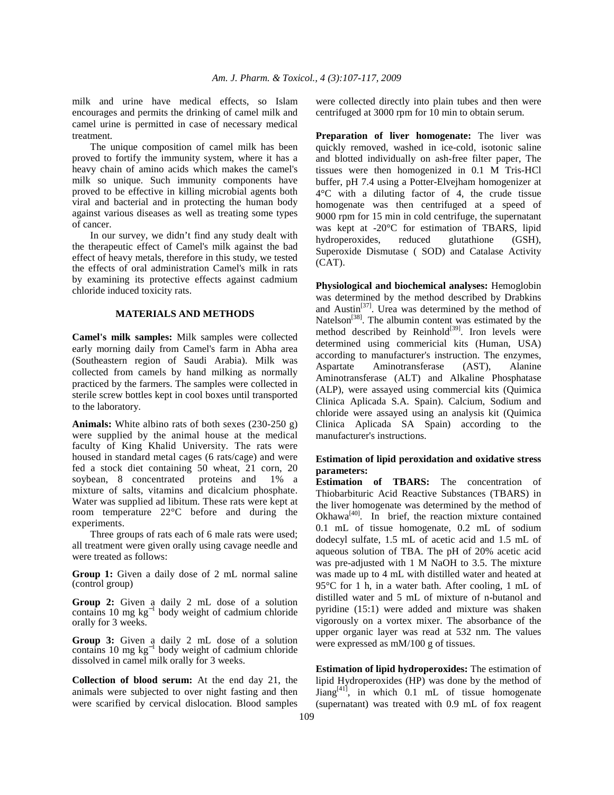milk and urine have medical effects, so Islam encourages and permits the drinking of camel milk and camel urine is permitted in case of necessary medical treatment.

 The unique composition of camel milk has been proved to fortify the immunity system, where it has a heavy chain of amino acids which makes the camel's milk so unique. Such immunity components have proved to be effective in killing microbial agents both viral and bacterial and in protecting the human body against various diseases as well as treating some types of cancer.

 In our survey, we didn't find any study dealt with the therapeutic effect of Camel's milk against the bad effect of heavy metals, therefore in this study, we tested the effects of oral administration Camel's milk in rats by examining its protective effects against cadmium chloride induced toxicity rats.

## **MATERIALS AND METHODS**

**Camel's milk samples:** Milk samples were collected early morning daily from Camel's farm in Abha area (Southeastern region of Saudi Arabia). Milk was collected from camels by hand milking as normally practiced by the farmers. The samples were collected in sterile screw bottles kept in cool boxes until transported to the laboratory.

**Animals:** White albino rats of both sexes (230-250 g) were supplied by the animal house at the medical faculty of King Khalid University. The rats were housed in standard metal cages (6 rats/cage) and were fed a stock diet containing 50 wheat, 21 corn, 20 soybean, 8 concentrated proteins and 1% a mixture of salts, vitamins and dicalcium phosphate. Water was supplied ad libitum. These rats were kept at room temperature 22°C before and during the experiments.

 Three groups of rats each of 6 male rats were used; all treatment were given orally using cavage needle and were treated as follows:

**Group 1:** Given a daily dose of 2 mL normal saline (control group)

**Group 2:** Given a daily 2 mL dose of a solution contains 10 mg kg<sup>−</sup><sup>1</sup> body weight of cadmium chloride orally for 3 weeks.

**Group 3:** Given a daily 2 mL dose of a solution contains 10 mg kg<sup>−</sup><sup>1</sup> body weight of cadmium chloride dissolved in camel milk orally for 3 weeks.

**Collection of blood serum:** At the end day 21, the animals were subjected to over night fasting and then were scarified by cervical dislocation. Blood samples were collected directly into plain tubes and then were centrifuged at 3000 rpm for 10 min to obtain serum.

**Preparation of liver homogenate:** The liver was quickly removed, washed in ice-cold, isotonic saline and blotted individually on ash-free filter paper, The tissues were then homogenized in 0.1 M Tris-HCl buffer, pH 7.4 using a Potter-Elvejham homogenizer at 4°C with a diluting factor of 4, the crude tissue homogenate was then centrifuged at a speed of 9000 rpm for 15 min in cold centrifuge, the supernatant was kept at -20°C for estimation of TBARS, lipid hydroperoxides, reduced glutathione (GSH), Superoxide Dismutase ( SOD) and Catalase Activity (CAT).

**Physiological and biochemical analyses:** Hemoglobin was determined by the method described by Drabkins and Austin<sup>[37]</sup>. Urea was determined by the method of Natelson<sup>[38]</sup>. The albumin content was estimated by the method described by Reinhold $^{[39]}$ . Iron levels were determined using commericial kits (Human, USA) according to manufacturer's instruction. The enzymes, Aspartate Aminotransferase (AST), Alanine Aminotransferase (ALT) and Alkaline Phosphatase (ALP), were assayed using commercial kits (Quimica Clinica Aplicada S.A. Spain). Calcium, Sodium and chloride were assayed using an analysis kit (Quimica Clinica Aplicada SA Spain) according to the manufacturer's instructions.

## **Estimation of lipid peroxidation and oxidative stress parameters:**

**Estimation of TBARS:** The concentration of Thiobarbituric Acid Reactive Substances (TBARS) in the liver homogenate was determined by the method of Okhawa $^{[40]}$ . In brief, the reaction mixture contained 0.1 mL of tissue homogenate, 0.2 mL of sodium dodecyl sulfate, 1.5 mL of acetic acid and 1.5 mL of aqueous solution of TBA. The pH of 20% acetic acid was pre-adjusted with 1 M NaOH to 3.5. The mixture was made up to 4 mL with distilled water and heated at 95°C for 1 h, in a water bath. After cooling, 1 mL of distilled water and 5 mL of mixture of n-butanol and pyridine (15:1) were added and mixture was shaken vigorously on a vortex mixer. The absorbance of the upper organic layer was read at 532 nm. The values were expressed as mM/100 g of tissues.

**Estimation of lipid hydroperoxides:** The estimation of lipid Hydroperoxides (HP) was done by the method of  $\text{Jiang}^{[41]}$ , in which 0.1 mL of tissue homogenate (supernatant) was treated with 0.9 mL of fox reagent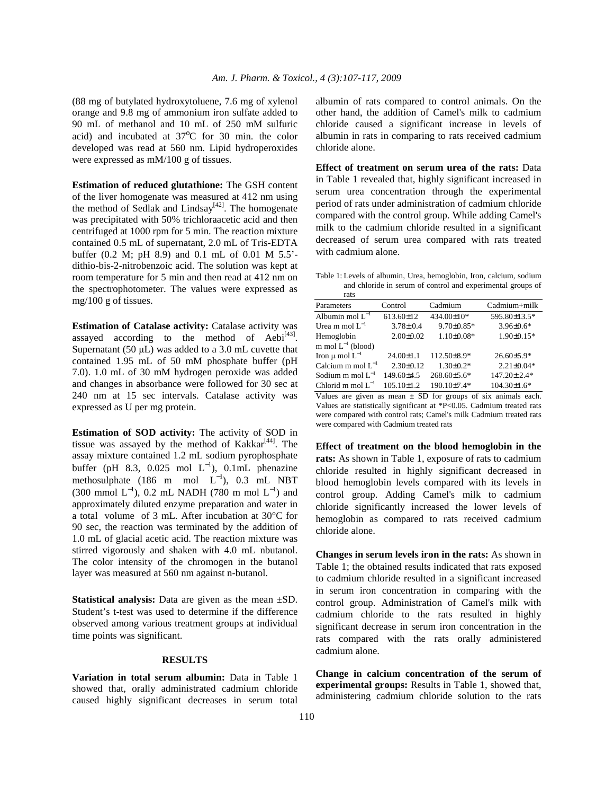(88 mg of butylated hydroxytoluene, 7.6 mg of xylenol orange and 9.8 mg of ammonium iron sulfate added to 90 mL of methanol and 10 mL of 250 mM sulfuric acid) and incubated at  $37^{\circ}$ C for 30 min. the color developed was read at 560 nm. Lipid hydroperoxides were expressed as mM/100 g of tissues.

**Estimation of reduced glutathione:** The GSH content of the liver homogenate was measured at 412 nm using the method of Sedlak and Lindsay<sup>[42]</sup>. The homogenate was precipitated with 50% trichloraacetic acid and then centrifuged at 1000 rpm for 5 min. The reaction mixture contained 0.5 mL of supernatant, 2.0 mL of Tris-EDTA buffer (0.2 M; pH 8.9) and 0.1 mL of 0.01 M 5.5' dithio-bis-2-nitrobenzoic acid. The solution was kept at room temperature for 5 min and then read at 412 nm on the spectrophotometer. The values were expressed as mg/100 g of tissues.

**Estimation of Catalase activity:** Catalase activity was assayed according to the method of  $Aebi^{[43]}$ . Supernatant (50 µL) was added to a 3.0 mL cuvette that contained 1.95 mL of 50 mM phosphate buffer (pH 7.0). 1.0 mL of 30 mM hydrogen peroxide was added and changes in absorbance were followed for 30 sec at 240 nm at 15 sec intervals. Catalase activity was expressed as U per mg protein.

**Estimation of SOD activity:** The activity of SOD in tissue was assayed by the method of  $Kakkar^{[44]}$ . The assay mixture contained 1.2 mL sodium pyrophosphate buffer (pH 8.3, 0.025 mol  $L^{-1}$ ), 0.1mL phenazine methosulphate (186 m mol  $L^{-1}$ ), 0.3 mL NBT (300 mmol  $L^{-1}$ ), 0.2 mL NADH (780 m mol  $L^{-1}$ ) and approximately diluted enzyme preparation and water in a total volume of 3 mL. After incubation at 30°C for 90 sec, the reaction was terminated by the addition of 1.0 mL of glacial acetic acid. The reaction mixture was stirred vigorously and shaken with 4.0 mL nbutanol. The color intensity of the chromogen in the butanol layer was measured at 560 nm against n-butanol.

**Statistical analysis:** Data are given as the mean  $\pm SD$ . Student's t-test was used to determine if the difference observed among various treatment groups at individual time points was significant.

#### **RESULTS**

**Variation in total serum albumin:** Data in Table 1 showed that, orally administrated cadmium chloride caused highly significant decreases in serum total albumin of rats compared to control animals. On the other hand, the addition of Camel's milk to cadmium chloride caused a significant increase in levels of albumin in rats in comparing to rats received cadmium chloride alone.

**Effect of treatment on serum urea of the rats:** Data in Table 1 revealed that, highly significant increased in serum urea concentration through the experimental period of rats under administration of cadmium chloride compared with the control group. While adding Camel's milk to the cadmium chloride resulted in a significant decreased of serum urea compared with rats treated with cadmium alone.

Table 1: Levels of albumin, Urea, hemoglobin, Iron, calcium, sodium and chloride in serum of control and experimental groups of

| rats                    |                  |                   |                   |
|-------------------------|------------------|-------------------|-------------------|
| Parameters              | Control          | Cadmium           | Cadmium+milk      |
| Albumin mol $L^{-1}$    | $613.60 \pm 12$  | 434.00±10*        | 595.80±13.5*      |
| Urea m mol $L^{-1}$     | $3.78 \pm 0.4$   | $9.70 \pm 0.85*$  | $3.96 \pm 0.6*$   |
| Hemoglobin              | $2.00 \pm 0.02$  | $1.10 \pm 0.08*$  | $1.90 \pm 0.15*$  |
| m mol $L^{-1}$ (blood)  |                  |                   |                   |
| Iron $\mu$ mol $L^{-1}$ | $24.00 \pm 1.1$  | 112.50 ± 8.9*     | $26.60\pm5.9*$    |
| Calcium m mol $L^{-1}$  | $2.30 \pm 0.12$  | $1.30 \pm 0.2*$   | $2.21 \pm 0.04*$  |
| Sodium m mol $L^{-1}$   | $149.60 \pm 4.5$ | $268.60 \pm 5.6*$ | $147.20 \pm 2.4*$ |
| Chlorid m mol $L^{-1}$  | $105.10 \pm 1.2$ | 190.10±7.4*       | $104.30 \pm 1.6*$ |

Values are given as mean  $\pm$  SD for groups of six animals each. Values are statistically significant at \*P<0.05. Cadmium treated rats were compared with control rats; Camel's milk Cadmium treated rats were compared with Cadmium treated rats

**Effect of treatment on the blood hemoglobin in the rats:** As shown in Table 1, exposure of rats to cadmium chloride resulted in highly significant decreased in blood hemoglobin levels compared with its levels in control group. Adding Camel's milk to cadmium chloride significantly increased the lower levels of hemoglobin as compared to rats received cadmium chloride alone.

**Changes in serum levels iron in the rats:** As shown in Table 1; the obtained results indicated that rats exposed to cadmium chloride resulted in a significant increased in serum iron concentration in comparing with the control group. Administration of Camel's milk with cadmium chloride to the rats resulted in highly significant decrease in serum iron concentration in the rats compared with the rats orally administered cadmium alone.

**Change in calcium concentration of the serum of experimental groups:** Results in Table 1, showed that, administering cadmium chloride solution to the rats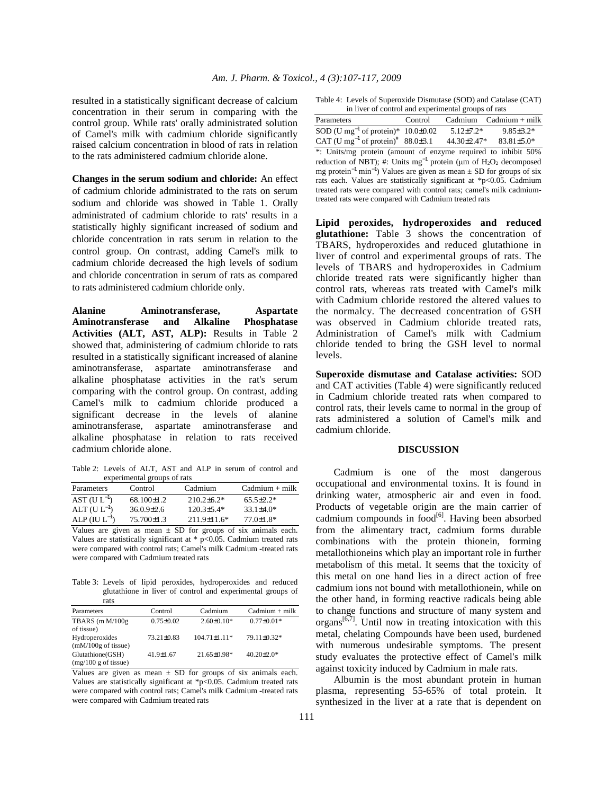resulted in a statistically significant decrease of calcium concentration in their serum in comparing with the control group. While rats' orally administrated solution of Camel's milk with cadmium chloride significantly raised calcium concentration in blood of rats in relation to the rats administered cadmium chloride alone.

**Changes in the serum sodium and chloride:** An effect of cadmium chloride administrated to the rats on serum sodium and chloride was showed in Table 1. Orally administrated of cadmium chloride to rats' results in a statistically highly significant increased of sodium and chloride concentration in rats serum in relation to the control group. On contrast, adding Camel's milk to cadmium chloride decreased the high levels of sodium and chloride concentration in serum of rats as compared to rats administered cadmium chloride only.

**Alanine Aminotransferase, Aspartate Aminotransferase and Alkaline Phosphatase Activities (ALT, AST, ALP):** Results in Table 2 showed that, administering of cadmium chloride to rats resulted in a statistically significant increased of alanine aminotransferase, aspartate aminotransferase and alkaline phosphatase activities in the rat's serum comparing with the control group. On contrast, adding Camel's milk to cadmium chloride produced a significant decrease in the levels of alanine aminotransferase, aspartate aminotransferase and alkaline phosphatase in relation to rats received cadmium chloride alone.

Table 2: Levels of ALT, AST and ALP in serum of control and experimental groups of rats

| Parameters        | Control          | Cadmium           | $C$ admium + milk |
|-------------------|------------------|-------------------|-------------------|
| $AST (UL-1)$      | $68.100 \pm 1.2$ | $210.2 \pm 6.2^*$ | $65.5 \pm 2.2*$   |
| ALT $(U L^{-1})$  | $36.0.9\pm2.6$   | $120.3 \pm 5.4*$  | $33.1 \pm 4.0*$   |
| ALP $(IU L^{-1})$ | $75.700 \pm 1.3$ | $211.9 \pm 11.6*$ | $77.0 \pm 1.8*$   |

Values are given as mean  $\pm$  SD for groups of six animals each. Values are statistically significant at  $*$  p<0.05. Cadmium treated rats were compared with control rats; Camel's milk Cadmium -treated rats were compared with Cadmium treated rats

Table 3: Levels of lipid peroxides, hydroperoxides and reduced glutathione in liver of control and experimental groups of rats

| 1 a to                                          |                  |                   |                    |
|-------------------------------------------------|------------------|-------------------|--------------------|
| Parameters                                      | Control          | Cadmium           | $C^{admium + milk$ |
| TBARS $(m M/100g)$<br>of tissue)                | $0.75 + 0.02$    | $2.60 \pm 0.10*$  | $0.77 \pm 0.01*$   |
| Hydroperoxides<br>$(mM/100g \text{ of tissue})$ | $73.21 \pm 0.83$ | $104.71 + 1.11*$  | 79.11±0.32*        |
| Glutathione (GSH)<br>$(mg/100 g$ of tissue)     | $41.9 \pm 1.67$  | $21.65 \pm 0.98*$ | $40.20 \pm 2.0^*$  |

Values are given as mean  $\pm$  SD for groups of six animals each. Values are statistically significant at \*p<0.05. Cadmium treated rats were compared with control rats; Camel's milk Cadmium -treated rats were compared with Cadmium treated rats

Table 4: Levels of Superoxide Dismutase (SOD) and Catalase (CAT) in liver of control and experimental groups of rats

| In hver of control and experimental groups of rais                                                                                                              |         |                  |                                  |  |  |  |
|-----------------------------------------------------------------------------------------------------------------------------------------------------------------|---------|------------------|----------------------------------|--|--|--|
| Parameters                                                                                                                                                      | Control |                  | $C^{admium}$ $C^{admium}$ + milk |  |  |  |
| SOD (U mg <sup>-1</sup> of protein)* $10.0\pm0.02$                                                                                                              |         | $5.12 \pm 7.2^*$ | $9.85 \pm 3.2*$                  |  |  |  |
| CAT (U mg <sup>-1</sup> of protein) <sup>#</sup> 88.0±3.1                                                                                                       |         | 44.30±2.47*      | $83.81 \pm 5.0*$                 |  |  |  |
| *: Units/mg protein (amount of enzyme required to inhibit 50%)<br>reduction of NBT); #: Units $mg^{-1}$ protein (µm of H <sub>2</sub> O <sub>2</sub> decomposed |         |                  |                                  |  |  |  |
| mg protein <sup>-1</sup> min <sup>-1</sup> ) Values are given as mean $\pm$ SD for groups of six                                                                |         |                  |                                  |  |  |  |
| rats each. Values are statistically significant at *p<0.05. Cadmium                                                                                             |         |                  |                                  |  |  |  |
| treated rats were compared with control rats; camel's milk cadmium-<br>treated rats were compared with Cadmium treated rats                                     |         |                  |                                  |  |  |  |

**Lipid peroxides, hydroperoxides and reduced glutathione:** Table 3 shows the concentration of TBARS, hydroperoxides and reduced glutathione in liver of control and experimental groups of rats. The levels of TBARS and hydroperoxides in Cadmium chloride treated rats were significantly higher than control rats, whereas rats treated with Camel's milk with Cadmium chloride restored the altered values to the normalcy. The decreased concentration of GSH was observed in Cadmium chloride treated rats, Administration of Camel's milk with Cadmium chloride tended to bring the GSH level to normal levels.

**Superoxide dismutase and Catalase activities:** SOD and CAT activities (Table 4) were significantly reduced in Cadmium chloride treated rats when compared to control rats, their levels came to normal in the group of rats administered a solution of Camel's milk and cadmium chloride.

#### **DISCUSSION**

 Cadmium is one of the most dangerous occupational and environmental toxins. It is found in drinking water, atmospheric air and even in food. Products of vegetable origin are the main carrier of cadmium compounds in  $food^{[6]}$ . Having been absorbed from the alimentary tract, cadmium forms durable combinations with the protein thionein, forming metallothioneins which play an important role in further metabolism of this metal. It seems that the toxicity of this metal on one hand lies in a direct action of free cadmium ions not bound with metallothionein, while on the other hand, in forming reactive radicals being able to change functions and structure of many system and organs $[6,7]$ . Until now in treating intoxication with this metal, chelating Compounds have been used, burdened with numerous undesirable symptoms. The present study evaluates the protective effect of Camel's milk against toxicity induced by Cadmium in male rats.

 Albumin is the most abundant protein in human plasma, representing 55-65% of total protein. It synthesized in the liver at a rate that is dependent on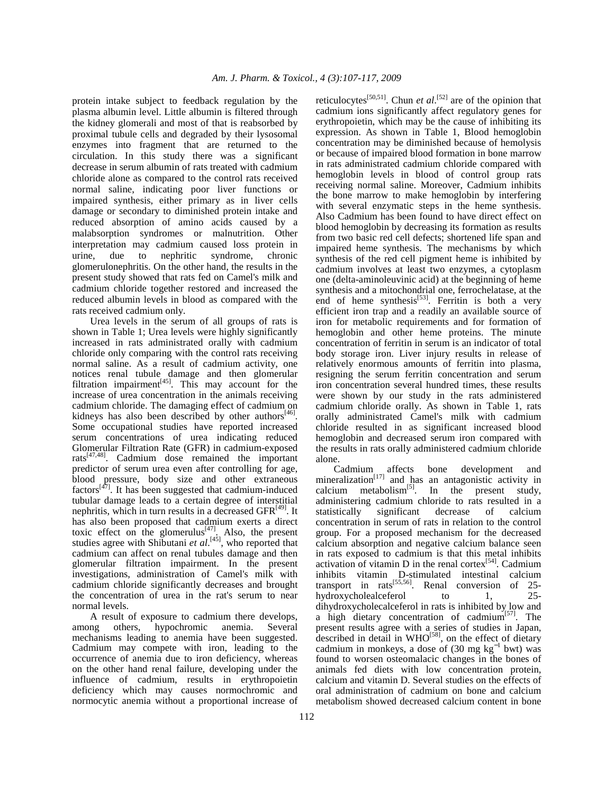protein intake subject to feedback regulation by the plasma albumin level. Little albumin is filtered through the kidney glomerali and most of that is reabsorbed by proximal tubule cells and degraded by their lysosomal enzymes into fragment that are returned to the circulation. In this study there was a significant decrease in serum albumin of rats treated with cadmium chloride alone as compared to the control rats received normal saline, indicating poor liver functions or impaired synthesis, either primary as in liver cells damage or secondary to diminished protein intake and reduced absorption of amino acids caused by a malabsorption syndromes or malnutrition. Other interpretation may cadmium caused loss protein in urine, due to nephritic syndrome, chronic glomerulonephritis. On the other hand, the results in the present study showed that rats fed on Camel's milk and cadmium chloride together restored and increased the reduced albumin levels in blood as compared with the rats received cadmium only.

 Urea levels in the serum of all groups of rats is shown in Table 1; Urea levels were highly significantly increased in rats administrated orally with cadmium chloride only comparing with the control rats receiving normal saline. As a result of cadmium activity, one notices renal tubule damage and then glomerular filtration impairment $[45]$ . This may account for the increase of urea concentration in the animals receiving cadmium chloride. The damaging effect of cadmium on kidneys has also been described by other authors $[46]$ . Some occupational studies have reported increased serum concentrations of urea indicating reduced Glomerular Filtration Rate (GFR) in cadmium-exposed rats $^{[47,48]}$ . Cadmium dose remained the important predictor of serum urea even after controlling for age, blood pressure, body size and other extraneous factors $[47]$ . It has been suggested that cadmium-induced tubular damage leads to a certain degree of interstitial nephritis, which in turn results in a decreased  $GFR<sup>[49]</sup>$ . It has also been proposed that cadmium exerts a direct toxic effect on the glomerulus<sup>[47]</sup>. Also, the present studies agree with Shibutani et al.<sup>[45]</sup>, who reported that cadmium can affect on renal tubules damage and then glomerular filtration impairment. In the present investigations, administration of Camel's milk with cadmium chloride significantly decreases and brought the concentration of urea in the rat's serum to near normal levels.

 A result of exposure to cadmium there develops, among others, hypochromic anemia. Several mechanisms leading to anemia have been suggested. Cadmium may compete with iron, leading to the occurrence of anemia due to iron deficiency, whereas on the other hand renal failure, developing under the influence of cadmium, results in erythropoietin deficiency which may causes normochromic and normocytic anemia without a proportional increase of

reticulocytes<sup>[50,51]</sup>. Chun *et al*.<sup>[52]</sup> are of the opinion that cadmium ions significantly affect regulatory genes for erythropoietin, which may be the cause of inhibiting its expression. As shown in Table 1, Blood hemoglobin concentration may be diminished because of hemolysis or because of impaired blood formation in bone marrow in rats administrated cadmium chloride compared with hemoglobin levels in blood of control group rats receiving normal saline. Moreover, Cadmium inhibits the bone marrow to make hemoglobin by interfering with several enzymatic steps in the heme synthesis. Also Cadmium has been found to have direct effect on blood hemoglobin by decreasing its formation as results from two basic red cell defects; shortened life span and impaired heme synthesis. The mechanisms by which synthesis of the red cell pigment heme is inhibited by cadmium involves at least two enzymes, a cytoplasm one (delta-aminoleuvinic acid) at the beginning of heme synthesis and a mitochondrial one, ferrochelatase, at the end of heme synthesis<sup>[53]</sup>. Ferritin is both a very efficient iron trap and a readily an available source of iron for metabolic requirements and for formation of hemoglobin and other heme proteins. The minute concentration of ferritin in serum is an indicator of total body storage iron. Liver injury results in release of relatively enormous amounts of ferritin into plasma, resigning the serum ferritin concentration and serum iron concentration several hundred times, these results were shown by our study in the rats administered cadmium chloride orally. As shown in Table 1, rats orally administrated Camel's milk with cadmium chloride resulted in as significant increased blood hemoglobin and decreased serum iron compared with the results in rats orally administered cadmium chloride alone.

 Cadmium affects bone development and mineralization $[17]$  and has an antagonistic activity in calcium metabolism<sup>[5]</sup>. In the present study, administering cadmium chloride to rats resulted in a statistically significant decrease of calcium concentration in serum of rats in relation to the control group. For a proposed mechanism for the decreased calcium absorption and negative calcium balance seen in rats exposed to cadmium is that this metal inhibits activation of vitamin  $D$  in the renal cortex<sup>[54]</sup>. Cadmium inhibits vitamin D-stimulated intestinal calcium transport in rats<sup>[55,56]</sup>. Renal conversion of  $25$ hydroxycholealceferol to 1, 25dihydroxycholecalceferol in rats is inhibited by low and a high dietary concentration of cadmium $[57]$ . The present results agree with a series of studies in Japan, described in detail in  $WHO^{[58]}$ , on the effect of dietary cadmium in monkeys, a dose of  $(30 \text{ mg kg}^{-1} \text{ bwt})$  was found to worsen osteomalacic changes in the bones of animals fed diets with low concentration protein, calcium and vitamin D. Several studies on the effects of oral administration of cadmium on bone and calcium metabolism showed decreased calcium content in bone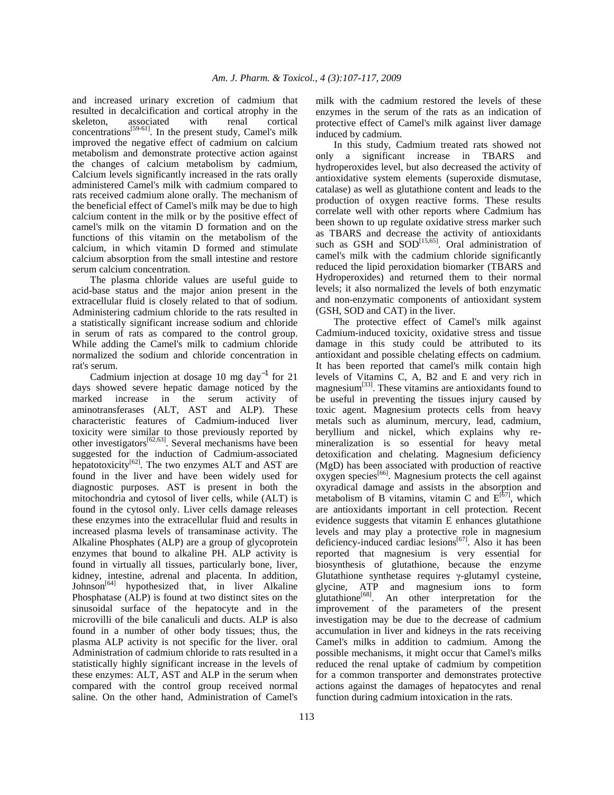and increased urinary excretion of cadmium that resulted in decalcification and cortical atrophy in the skeleton, associated with renal cortical concentrations<sup>[59-61]</sup>. In the present study, Camel's milk improved the negative effect of cadmium on calcium metabolism and demonstrate protective action against the changes of calcium metabolism by cadmium, Calcium levels significantly increased in the rats orally administered Camel's milk with cadmium compared to rats received cadmium alone orally. The mechanism of the beneficial effect of Camel's milk may be due to high calcium content in the milk or by the positive effect of camel's milk on the vitamin D formation and on the functions of this vitamin on the metabolism of the calcium, in which vitamin D formed and stimulate calcium absorption from the small intestine and restore serum calcium concentration.

 The plasma chloride values are useful guide to acid-base status and the major anion present in the extracellular fluid is closely related to that of sodium. Administering cadmium chloride to the rats resulted in a statistically significant increase sodium and chloride in serum of rats as compared to the control group. While adding the Camel's milk to cadmium chloride normalized the sodium and chloride concentration in rat's serum.

Cadmium injection at dosage 10 mg day<sup>-1</sup> for 21 days showed severe hepatic damage noticed by the marked increase in the serum activity of marked increase in the aminotransferases (ALT, AST and ALP). These characteristic features of Cadmium-induced liver toxicity were similar to those previously reported by other investigators $[62, 63]$ . Several mechanisms have been suggested for the induction of Cadmium-associated hepatotoxicity<sup>[62]</sup>. The two enzymes ALT and AST are found in the liver and have been widely used for diagnostic purposes. AST is present in both the mitochondria and cytosol of liver cells, while (ALT) is found in the cytosol only. Liver cells damage releases these enzymes into the extracellular fluid and results in increased plasma levels of transaminase activity. The Alkaline Phosphates (ALP) are a group of glycoprotein enzymes that bound to alkaline PH. ALP activity is found in virtually all tissues, particularly bone, liver, kidney, intestine, adrenal and placenta. In addition, Johnson<sup>[64]</sup> hypothesized that, in liver Alkaline Phosphatase (ALP) is found at two distinct sites on the sinusoidal surface of the hepatocyte and in the microvilli of the bile canaliculi and ducts. ALP is also found in a number of other body tissues; thus, the plasma ALP activity is not specific for the liver. oral Administration of cadmium chloride to rats resulted in a statistically highly significant increase in the levels of these enzymes: ALT, AST and ALP in the serum when compared with the control group received normal saline. On the other hand, Administration of Camel's

milk with the cadmium restored the levels of these enzymes in the serum of the rats as an indication of protective effect of Camel's milk against liver damage induced by cadmium.

 In this study, Cadmium treated rats showed not only a significant increase in TBARS and hydroperoxides level, but also decreased the activity of antioxidative system elements (superoxide dismutase, catalase) as well as glutathione content and leads to the production of oxygen reactive forms. These results correlate well with other reports where Cadmium has been shown to up regulate oxidative stress marker such as TBARS and decrease the activity of antioxidants such as GSH and  $SOD^{[15,65]}$ . Oral administration of camel's milk with the cadmium chloride significantly reduced the lipid peroxidation biomarker (TBARS and Hydroperoxides) and returned them to their normal levels; it also normalized the levels of both enzymatic and non-enzymatic components of antioxidant system (GSH, SOD and CAT) in the liver.

 The protective effect of Camel's milk against Cadmium-induced toxicity, oxidative stress and tissue damage in this study could be attributed to its antioxidant and possible chelating effects on cadmium. It has been reported that camel's milk contain high levels of Vitamins C, A, B2 and E and very rich in magnesium<sup>[33]</sup>. These vitamins are antioxidants found to be useful in preventing the tissues injury caused by toxic agent. Magnesium protects cells from heavy metals such as aluminum, mercury, lead, cadmium, beryllium and nickel, which explains why remineralization is so essential for heavy metal detoxification and chelating. Magnesium deficiency (MgD) has been associated with production of reactive  $\alpha$ ygen species<sup>[66]</sup>. Magnesium protects the cell against oxyradical damage and assists in the absorption and metabolism of B vitamins, vitamin C and  $E^{[67]}$ , which are antioxidants important in cell protection. Recent evidence suggests that vitamin E enhances glutathione levels and may play a protective role in magnesium deficiency-induced cardiac lesions $[67]$ . Also it has been reported that magnesium is very essential for biosynthesis of glutathione, because the enzyme Glutathione synthetase requires γ-glutamyl cysteine, glycine, ATP and magnesium ions to form glutathione<sup>[68]</sup>. An other interpretation for the improvement of the parameters of the present investigation may be due to the decrease of cadmium accumulation in liver and kidneys in the rats receiving Camel's milks in addition to cadmium. Among the possible mechanisms, it might occur that Camel's milks reduced the renal uptake of cadmium by competition for a common transporter and demonstrates protective actions against the damages of hepatocytes and renal function during cadmium intoxication in the rats.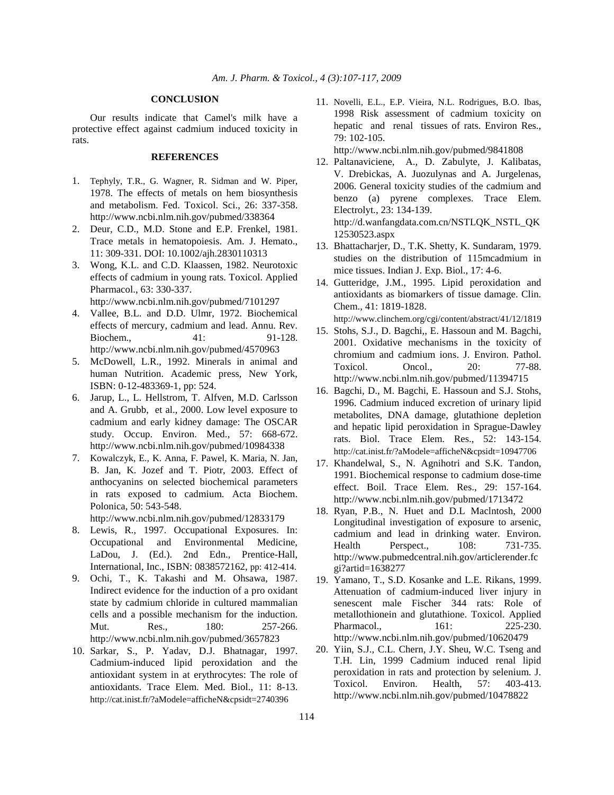## **CONCLUSION**

 Our results indicate that Camel's milk have a protective effect against cadmium induced toxicity in rats.

## **REFERENCES**

- 1. Tephyly, T.R., G. Wagner, R. Sidman and W. Piper, 1978. The effects of metals on hem biosynthesis and metabolism. Fed. Toxicol. Sci., 26: 337-358. http://www.ncbi.nlm.nih.gov/pubmed/338364
- 2. Deur, C.D., M.D. Stone and E.P. Frenkel, 1981. Trace metals in hematopoiesis. Am. J. Hemato., 11: 309-331. DOI: 10.1002/ajh.2830110313
- 3. Wong, K.L. and C.D. Klaassen, 1982. Neurotoxic effects of cadmium in young rats. Toxicol. Applied Pharmacol., 63: 330-337. http://www.ncbi.nlm.nih.gov/pubmed/7101297
- 4. Vallee, B.L. and D.D. Ulmr, 1972. Biochemical effects of mercury, cadmium and lead. Annu. Rev. Biochem., 41: 91-128. http://www.ncbi.nlm.nih.gov/pubmed/4570963
- 5. McDowell, L.R., 1992. Minerals in animal and human Nutrition. Academic press, New York, ISBN: 0-12-483369-1, pp: 524.
- 6. Jarup, L., L. Hellstrom, T. Alfven, M.D. Carlsson and A. Grubb, et al., 2000. Low level exposure to cadmium and early kidney damage: The OSCAR study. Occup. Environ. Med., 57: 668-672. http://www.ncbi.nlm.nih.gov/pubmed/10984338
- 7. Kowalczyk, E., K. Anna, F. Pawel, K. Maria, N. Jan, B. Jan, K. Jozef and T. Piotr, 2003. Effect of anthocyanins on selected biochemical parameters in rats exposed to cadmium. Acta Biochem. Polonica, 50: 543-548.

http://www.ncbi.nlm.nih.gov/pubmed/12833179

- 8. Lewis, R., 1997. Occupational Exposures. In: Occupational and Environmental Medicine, LaDou, J. (Ed.). 2nd Edn., Prentice-Hall, International, Inc., ISBN: 0838572162, pp: 412-414.
- 9. Ochi, T., K. Takashi and M. Ohsawa, 1987. Indirect evidence for the induction of a pro oxidant state by cadmium chloride in cultured mammalian cells and a possible mechanism for the induction. Mut. Res., 180: 257-266. http://www.ncbi.nlm.nih.gov/pubmed/3657823
- 10. Sarkar, S., P. Yadav, D.J. Bhatnagar, 1997. Cadmium-induced lipid peroxidation and the antioxidant system in at erythrocytes: The role of antioxidants. Trace Elem. Med. Biol., 11: 8-13. http://cat.inist.fr/?aModele=afficheN&cpsidt=2740396

11. Novelli, E.L., E.P. Vieira, N.L. Rodrigues, B.O. Ibas, 1998 Risk assessment of cadmium toxicity on hepatic and renal tissues of rats. Environ Res., 79: 102-105.

http://www.ncbi.nlm.nih.gov/pubmed/9841808

- 12. Paltanaviciene, A., D. Zabulyte, J. Kalibatas, V. Drebickas, A. Juozulynas and A. Jurgelenas, 2006. General toxicity studies of the cadmium and benzo (a) pyrene complexes. Trace Elem. Electrolyt., 23: 134-139. http://d.wanfangdata.com.cn/NSTLQK\_NSTL\_QK 12530523.aspx
- 13. Bhattacharjer, D., T.K. Shetty, K. Sundaram, 1979. studies on the distribution of 115mcadmium in mice tissues. Indian J. Exp. Biol., 17: 4-6.
- 14. Gutteridge, J.M., 1995. Lipid peroxidation and antioxidants as biomarkers of tissue damage. Clin. Chem., 41: 1819-1828. http://www.clinchem.org/cgi/content/abstract/41/12/1819
- 15. Stohs, S.J., D. Bagchi,, E. Hassoun and M. Bagchi, 2001. Oxidative mechanisms in the toxicity of chromium and cadmium ions. J. Environ. Pathol. Toxicol. Oncol., 20: 77-88. http://www.ncbi.nlm.nih.gov/pubmed/11394715
- 16. Bagchi, D., M. Bagchi, E. Hassoun and S.J. Stohs, 1996. Cadmium induced excretion of urinary lipid metabolites, DNA damage, glutathione depletion and hepatic lipid peroxidation in Sprague-Dawley rats. Biol. Trace Elem. Res., 52: 143-154. http://cat.inist.fr/?aModele=afficheN&cpsidt=10947706
- 17. Khandelwal, S., N. Agnihotri and S.K. Tandon, 1991. Biochemical response to cadmium dose-time effect. Boil. Trace Elem. Res., 29: 157-164. http://www.ncbi.nlm.nih.gov/pubmed/1713472
- 18. Ryan, P.B., N. Huet and D.L Maclntosh, 2000 Longitudinal investigation of exposure to arsenic, cadmium and lead in drinking water. Environ. Health Perspect., 108: 731-735. http://www.pubmedcentral.nih.gov/articlerender.fc gi?artid=1638277
- 19. Yamano, T., S.D. Kosanke and L.E. Rikans, 1999. Attenuation of cadmium-induced liver injury in senescent male Fischer 344 rats: Role of metallothionein and glutathione. Toxicol. Applied Pharmacol., 161: 225-230. http://www.ncbi.nlm.nih.gov/pubmed/10620479
- 20. Yiin, S.J., C.L. Chern, J.Y. Sheu, W.C. Tseng and T.H. Lin, 1999 Cadmium induced renal lipid peroxidation in rats and protection by selenium. J. Toxicol. Environ. Health, 57: 403-413. http://www.ncbi.nlm.nih.gov/pubmed/10478822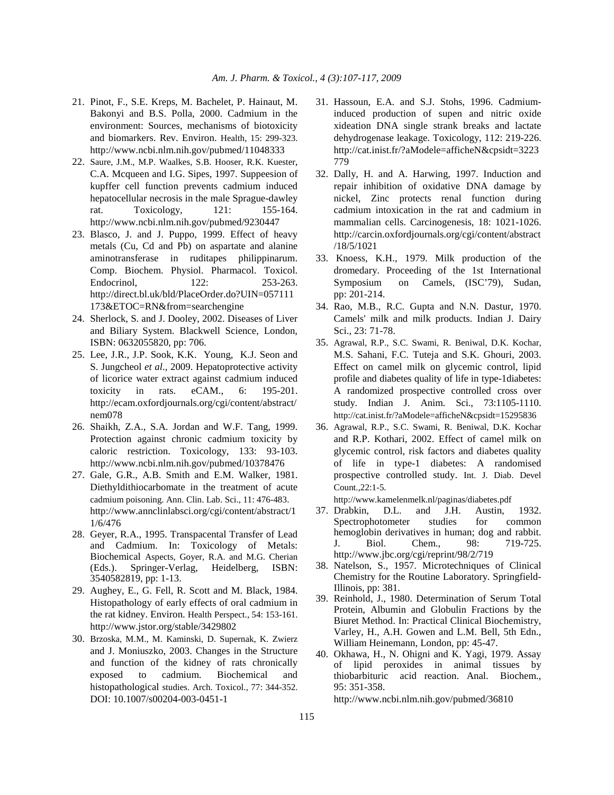- 21. Pinot, F., S.E. Kreps, M. Bachelet, P. Hainaut, M. Bakonyi and B.S. Polla, 2000. Cadmium in the environment: Sources, mechanisms of biotoxicity and biomarkers. Rev. Environ. Health, 15: 299-323. http://www.ncbi.nlm.nih.gov/pubmed/11048333
- 22. Saure, J.M., M.P. Waalkes, S.B. Hooser, R.K. Kuester, C.A. Mcqueen and I.G. Sipes, 1997. Suppeesion of kupffer cell function prevents cadmium induced hepatocellular necrosis in the male Sprague-dawley rat. Toxicology, 121: 155-164. http://www.ncbi.nlm.nih.gov/pubmed/9230447
- 23. Blasco, J. and J. Puppo, 1999. Effect of heavy metals (Cu, Cd and Pb) on aspartate and alanine aminotransferase in ruditapes philippinarum. Comp. Biochem. Physiol. Pharmacol. Toxicol. Endocrinol, 122: 253-263. http://direct.bl.uk/bld/PlaceOrder.do?UIN=057111 173&ETOC=RN&from=searchengine
- 24. Sherlock, S. and J. Dooley, 2002. Diseases of Liver and Biliary System. Blackwell Science, London, ISBN: 0632055820, pp: 706.
- 25. Lee, J.R., J.P. Sook, K.K. Young, K.J. Seon and S. Jungcheol *et al*., 2009. Hepatoprotective activity of licorice water extract against cadmium induced toxicity in rats. eCAM., 6: 195-201. http://ecam.oxfordjournals.org/cgi/content/abstract/ nem078
- 26. Shaikh, Z.A., S.A. Jordan and W.F. Tang, 1999. Protection against chronic cadmium toxicity by caloric restriction. Toxicology, 133: 93-103. http://www.ncbi.nlm.nih.gov/pubmed/10378476
- 27. Gale, G.R., A.B. Smith and E.M. Walker, 1981. Diethyldithiocarbomate in the treatment of acute cadmium poisoning. Ann. Clin. Lab. Sci., 11: 476-483. http://www.annclinlabsci.org/cgi/content/abstract/1 1/6/476
- 28. Geyer, R.A., 1995. Transpacental Transfer of Lead and Cadmium. In: Toxicology of Metals: Biochemical Aspects, Goyer, R.A. and M.G. Cherian (Eds.). Springer-Verlag, Heidelberg, ISBN: 3540582819, pp: 1-13.
- 29. Aughey, E., G. Fell, R. Scott and M. Black, 1984. Histopathology of early effects of oral cadmium in the rat kidney. Environ. Health Perspect., 54: 153-161. http://www.jstor.org/stable/3429802
- 30. Brzoska, M.M., M. Kaminski, D. Supernak, K. Zwierz and J. Moniuszko, 2003. Changes in the Structure and function of the kidney of rats chronically exposed to cadmium. Biochemical and histopathological studies. Arch. Toxicol., 77: 344-352. DOI: 10.1007/s00204-003-0451-1
- 31. Hassoun, E.A. and S.J. Stohs, 1996. Cadmiuminduced production of supen and nitric oxide xideation DNA single strank breaks and lactate dehydrogenase leakage. Toxicology, 112: 219-226. http://cat.inist.fr/?aModele=afficheN&cpsidt=3223 779
- 32. Dally, H. and A. Harwing, 1997. Induction and repair inhibition of oxidative DNA damage by nickel, Zinc protects renal function during cadmium intoxication in the rat and cadmium in mammalian cells. Carcinogenesis, 18: 1021-1026. http://carcin.oxfordjournals.org/cgi/content/abstract /18/5/1021
- 33. Knoess, K.H., 1979. Milk production of the dromedary. Proceeding of the 1st International Symposium on Camels, (ISC'79), Sudan, pp: 201-214.
- 34. Rao, M.B., R.C. Gupta and N.N. Dastur, 1970. Camels' milk and milk products. Indian J. Dairy Sci., 23: 71-78.
- 35. Agrawal, R.P., S.C. Swami, R. Beniwal, D.K. Kochar, M.S. Sahani, F.C. Tuteja and S.K. Ghouri, 2003. Effect on camel milk on glycemic control, lipid profile and diabetes quality of life in type-1diabetes: A randomized prospective controlled cross over study. Indian J. Anim. Sci., 73:1105-1110. http://cat.inist.fr/?aModele=afficheN&cpsidt=15295836
- 36. Agrawal, R.P., S.C. Swami, R. Beniwal, D.K. Kochar and R.P. Kothari, 2002. Effect of camel milk on glycemic control, risk factors and diabetes quality of life in type-1 diabetes: A randomised prospective controlled study. Int. J. Diab. Devel Count.,22:1-5.

http://www.kamelenmelk.nl/paginas/diabetes.pdf

- 37. Drabkin, D.L. and J.H. Austin, 1932. Spectrophotometer studies for common hemoglobin derivatives in human; dog and rabbit. J. Biol. Chem., 98: 719-725. http://www.jbc.org/cgi/reprint/98/2/719
- 38. Natelson, S., 1957. Microtechniques of Clinical Chemistry for the Routine Laboratory. Springfield-Illinois, pp: 381.
- 39. Reinhold, J., 1980. Determination of Serum Total Protein, Albumin and Globulin Fractions by the Biuret Method. In: Practical Clinical Biochemistry, Varley, H., A.H. Gowen and L.M. Bell, 5th Edn., William Heinemann, London, pp: 45-47.
- 40. Okhawa, H., N. Ohigni and K. Yagi, 1979. Assay of lipid peroxides in animal tissues by thiobarbituric acid reaction. Anal. Biochem., 95: 351-358.

http://www.ncbi.nlm.nih.gov/pubmed/36810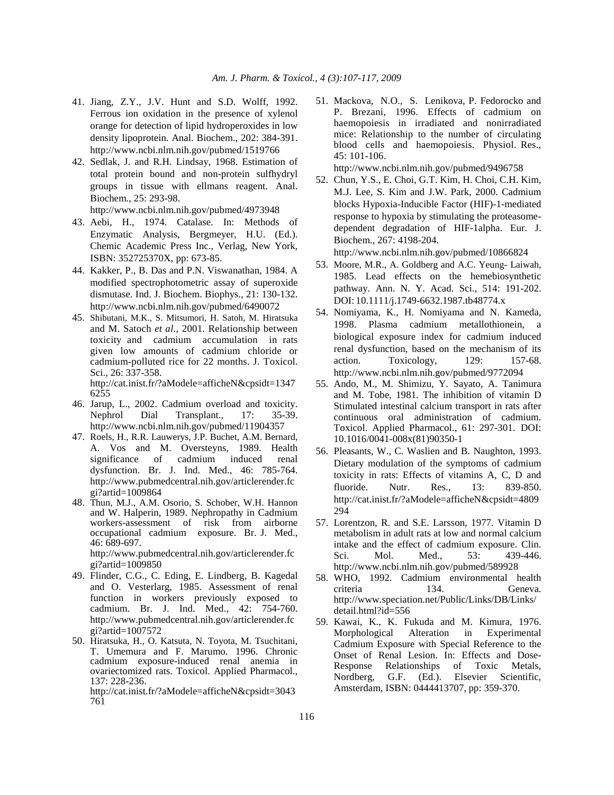- 41. Jiang, Z.Y., J.V. Hunt and S.D. Wolff, 1992. Ferrous ion oxidation in the presence of xylenol orange for detection of lipid hydroperoxides in low density lipoprotein. Anal. Biochem., 202: 384-391. http://www.ncbi.nlm.nih.gov/pubmed/1519766
- 42. Sedlak, J. and R.H. Lindsay, 1968. Estimation of total protein bound and non-protein sulfhydryl groups in tissue with ellmans reagent. Anal. Biochem., 25: 293-98.

http://www.ncbi.nlm.nih.gov/pubmed/4973948

- 43. Aebi, H., 1974. Catalase. In: Methods of Enzymatic Analysis, Bergmeyer, H.U. (Ed.). Chemic Academic Press Inc., Verlag, New York, ISBN: 352725370X, pp: 673-85.
- 44. Kakker, P., B. Das and P.N. Viswanathan, 1984. A modified spectrophotometric assay of superoxide dismutase. Ind. J. Biochem. Biophys., 21: 130-132. http://www.ncbi.nlm.nih.gov/pubmed/6490072
- 45. Shibutani, M.K., S. Mitsumori, H. Satoh, M. Hiratsuka and M. Satoch *et al*., 2001. Relationship between toxicity and cadmium accumulation in rats given low amounts of cadmium chloride or cadmium-polluted rice for 22 months. J. Toxicol. Sci., 26: 337-358. http://cat.inist.fr/?aModele=afficheN&cpsidt=1347

6255 46. Jarup, L., 2002. Cadmium overload and toxicity.

Nephrol Dial Transplant., 17: 35-39. http://www.ncbi.nlm.nih.gov/pubmed/11904357

- 47. Roels, H., R.R. Lauwerys, J.P. Buchet, A.M. Bernard, A. Vos and M. Oversteyns, 1989. Health significance of cadmium induced renal dysfunction. Br. J. Ind. Med., 46: 785-764. http://www.pubmedcentral.nih.gov/articlerender.fc gi?artid=1009864
- 48. Thun, M.J., A.M. Osorio, S. Schober, W.H. Hannon and W. Halperin, 1989. Nephropathy in Cadmium workers-assessment of risk from airborne occupational cadmium exposure. Br. J. Med., 46: 689-697. http://www.pubmedcentral.nih.gov/articlerender.fc

gi?artid=1009850

- 49. Flinder, C.G., C. Eding, E. Lindberg, B. Kagedal and O. Vesterlarg, 1985. Assessment of renal function in workers previously exposed to cadmium. Br. J. Ind. Med., 42: 754-760. http://www.pubmedcentral.nih.gov/articlerender.fc gi?artid=1007572
- 50. Hiratsuka, H., O. Katsuta, N. Toyota, M. Tsuchitani, T. Umemura and F. Marumo. 1996. Chronic cadmium exposure-induced renal anemia in ovariectomized rats. Toxicol. Applied Pharmacol., 137: 228-236.

http://cat.inist.fr/?aModele=afficheN&cpsidt=3043 761

51. Mackova, N.O., S. Lenikova, P. Fedorocko and P. Brezani, 1996. Effects of cadmium on haemopoiesis in irradiated and nonirradiated mice: Relationship to the number of circulating blood cells and haemopoiesis. Physiol. Res., 45: 101-106.

http://www.ncbi.nlm.nih.gov/pubmed/9496758

52. Chun, Y.S., E. Choi, G.T. Kim, H. Choi, C.H. Kim, M.J. Lee, S. Kim and J.W. Park, 2000. Cadmium blocks Hypoxia-Inducible Factor (HIF)-1-mediated response to hypoxia by stimulating the proteasomedependent degradation of HIF-1alpha. Eur. J. Biochem., 267: 4198-204.

http://www.ncbi.nlm.nih.gov/pubmed/10866824

- 53. Moore, M.R., A. Goldberg and A.C. Yeung- Laiwah, 1985. Lead effects on the hemebiosynthetic pathway. Ann. N. Y. Acad. Sci., 514: 191-202. DOI: 10.1111/j.1749-6632.1987.tb48774.x
- 54. Nomiyama, K., H. Nomiyama and N. Kameda, 1998. Plasma cadmium metallothionein, a biological exposure index for cadmium induced renal dysfunction, based on the mechanism of its action. Toxicology, 129: 157-68. http://www.ncbi.nlm.nih.gov/pubmed/9772094
- 55. Ando, M., M. Shimizu, Y. Sayato, A. Tanimura and M. Tobe, 1981. The inhibition of vitamin D Stimulated intestinal calcium transport in rats after continuous oral administration of cadmium. Toxicol. Applied Pharmacol., 61: 297-301. DOI: 10.1016/0041-008x(81)90350-1
- 56. Pleasants, W., C. Waslien and B. Naughton, 1993. Dietary modulation of the symptoms of cadmium toxicity in rats: Effects of vitamins A, C, D and fluoride. Nutr. Res., 13: 839-850. http://cat.inist.fr/?aModele=afficheN&cpsidt=4809 294
- 57. Lorentzon, R. and S.E. Larsson, 1977. Vitamin D metabolism in adult rats at low and normal calcium intake and the effect of cadmium exposure. Clin. Sci. Mol. Med., 53: 439-446. http://www.ncbi.nlm.nih.gov/pubmed/589928
- 58. WHO, 1992. Cadmium environmental health criteria 134. Geneva. http://www.speciation.net/Public/Links/DB/Links/ detail.html?id=556
- 59. Kawai, K., K. Fukuda and M. Kimura, 1976. Morphological Alteration in Experimental Cadmium Exposure with Special Reference to the Onset of Renal Lesion. In: Effects and Dose-Response Relationships of Toxic Metals, Nordberg, G.F. (Ed.). Elsevier Scientific, Amsterdam, ISBN: 0444413707, pp: 359-370.